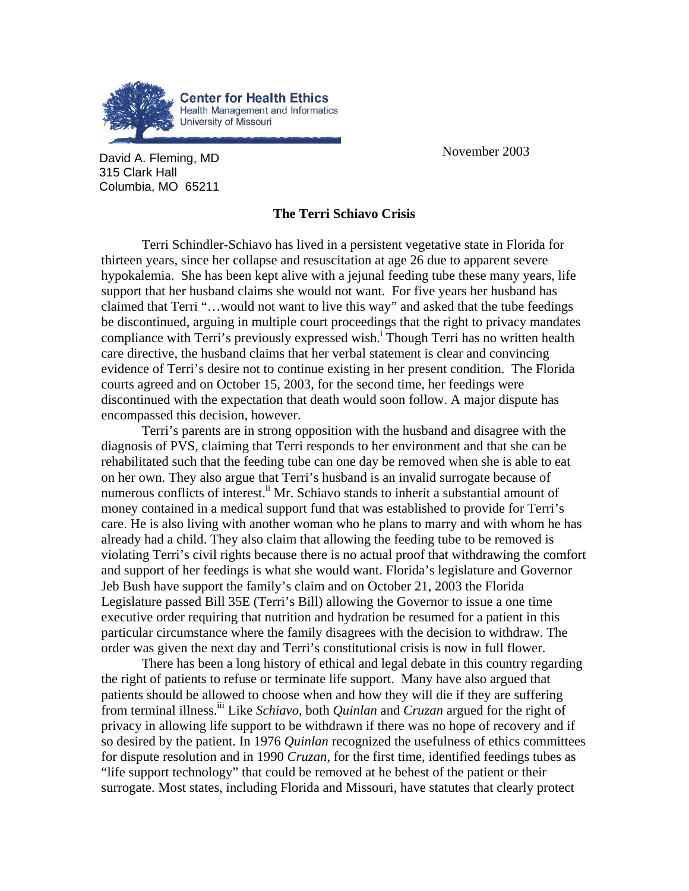

**David A. Fleming, MD David A. Fleming, MD** 315 Clark Hall Columbia, MO 65211

## **The Terri Schiavo Crisis**

Terri Schindler-Schiavo has lived in a persistent vegetative state in Florida for thirteen years, since her collapse and resuscitation at age 26 due to apparent severe hypokalemia. She has been kept alive with a jejunal feeding tube these many years, life support that her husband claims she would not want. For five years her husband has claimed that Terri "…would not want to live this way" and asked that the tube feedings be discontinued, arguing in multiple court proceedings that the right to privacy mandates compliancewith Terri's previously expressed wish.<sup>1</sup> Though Terri has no written health care directive, the husband claims that her verbal statement is clear and convincing evidence of Terri's desire not to continue existing in her present condition. The Florida courts agreed and on October 15, 2003, for the second time, her feedings were discontinued with the expectation that death would soon follow. A major dispute has encompassed this decision, however.

Terri's parents are in strong opposition with the husband and disagree with the diagnosis of PVS, claiming that Terri responds to her environment and that she can be rehabilitated such that the feeding tube can one day be removed when she is able to eat on her own. They also argue that Terri's husband is an invalid surrogate because of numerous conflicts of interest.<sup>ii</sup> Mr. Schiavo stands to inherit a substantial amount of money contained in a medical support fund that was established to provide for Terri's care. He is also living with another woman who he plans to marry and with whom he has already had a child. They also claim that allowing the feeding tube to be removed is violating Terri's civil rights because there is no actual proof that withdrawing the comfort and support of her feedings is what she would want. Florida's legislature and Governor Jeb Bush have support the family's claim and on October 21, 2003 the Florida Legislature passed Bill 35E (Terri's Bill) allowing the Governor to issue a one time executive order requiring that nutrition and hydration be resumed for a patient in this particular circumstance where the family disagrees with the decision to withdraw. The order was given the next day and Terri's constitutional crisis is now in full flower.

There has been a long history of ethical and legal debate in this country regarding the right of patients to refuse or terminate life support. Many have also argued that patients should be allowed to choose when and how they will die if they are suffering from terminal illness[.iii](#page-1-2) Like *Schiavo*, both *Quinlan* and *Cruzan* argued for the right of privacy in allowing life support to be withdrawn if there was no hope of recovery and if so desired by the patient. In 1976 *Quinlan* recognized the usefulness of ethics committees for dispute resolution and in 1990 *Cruzan*, for the first time, identified feedings tubes as "life support technology" that could be removed at he behest of the patient or their surrogate. Most states, including Florida and Missouri, have statutes that clearly protect